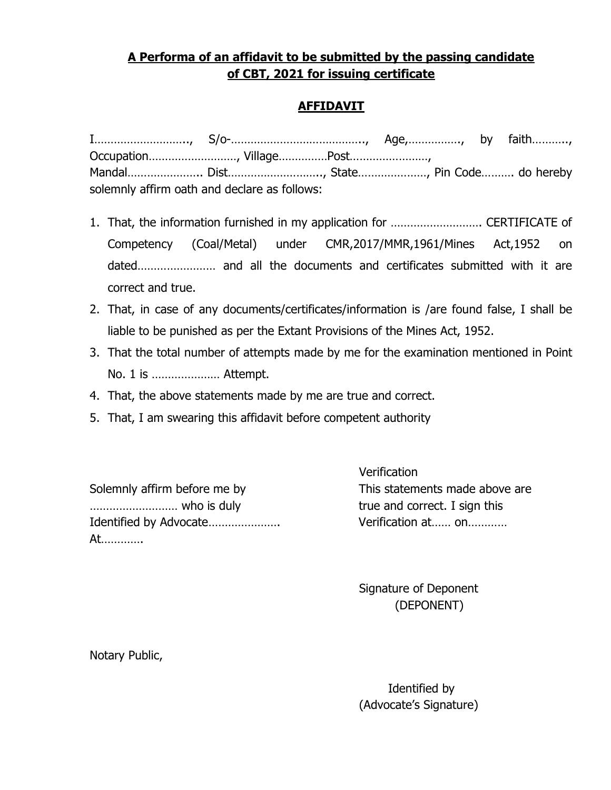## A Performa of an affidavit to be submitted by the passing candidate of CBT, 2021 for issuing certificate

## AFFIDAVIT

| Mandal Dist, State, Pin Code do hereby       |  |  |
|----------------------------------------------|--|--|
| solemnly affirm oath and declare as follows: |  |  |

- 1. That, the information furnished in my application for ………………………. CERTIFICATE of Competency (Coal/Metal) under CMR,2017/MMR,1961/Mines Act,1952 on dated…………………… and all the documents and certificates submitted with it are correct and true.
- 2. That, in case of any documents/certificates/information is /are found false, I shall be liable to be punished as per the Extant Provisions of the Mines Act, 1952.
- 3. That the total number of attempts made by me for the examination mentioned in Point No. 1 is ………………… Attempt.
- 4. That, the above statements made by me are true and correct.
- 5. That, I am swearing this affidavit before competent authority

Solemnly affirm before me by This statements made above are ……………………… who is duly true and correct. I sign this Identified by Advocate…………………. Verification at…… on………… At………….

**Verification** 

 Signature of Deponent (DEPONENT)

Notary Public,

 Identified by (Advocate's Signature)